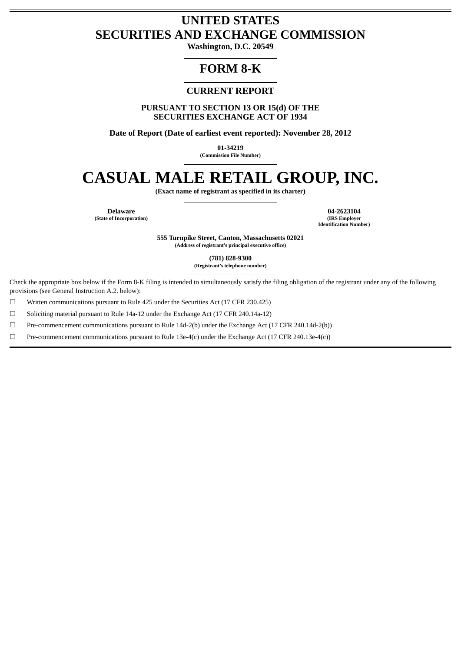# **UNITED STATES SECURITIES AND EXCHANGE COMMISSION**

**Washington, D.C. 20549**

# **FORM 8-K**

# **CURRENT REPORT**

**PURSUANT TO SECTION 13 OR 15(d) OF THE SECURITIES EXCHANGE ACT OF 1934**

**Date of Report (Date of earliest event reported): November 28, 2012**

**01-34219**

**(Commission File Number)**

# **CASUAL MALE RETAIL GROUP, INC.**

**(Exact name of registrant as specified in its charter)**

**(State of Incorporation)** 

**Delaware 04-2623104 Identification Number)**

> **555 Turnpike Street, Canton, Massachusetts 02021 (Address of registrant's principal executive office)**

> > **(781) 828-9300**

**(Registrant's telephone number)**

Check the appropriate box below if the Form 8-K filing is intended to simultaneously satisfy the filing obligation of the registrant under any of the following provisions (see General Instruction A.2. below):

 $\Box$  Written communications pursuant to Rule 425 under the Securities Act (17 CFR 230.425)

☐ Soliciting material pursuant to Rule 14a-12 under the Exchange Act (17 CFR 240.14a-12)

☐ Pre-commencement communications pursuant to Rule 14d-2(b) under the Exchange Act (17 CFR 240.14d-2(b))

 $□$  Pre-commencement communications pursuant to Rule 13e-4(c) under the Exchange Act (17 CFR 240.13e-4(c))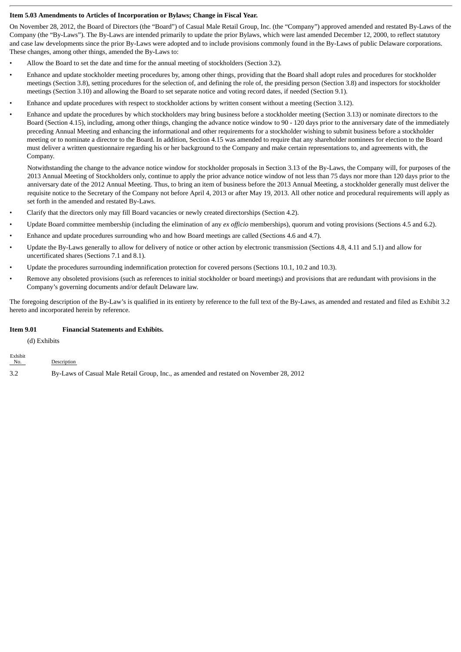# **Item 5.03 Amendments to Articles of Incorporation or Bylaws; Change in Fiscal Year.**

On November 28, 2012, the Board of Directors (the "Board") of Casual Male Retail Group, Inc. (the "Company") approved amended and restated By-Laws of the Company (the "By-Laws"). The By-Laws are intended primarily to update the prior Bylaws, which were last amended December 12, 2000, to reflect statutory and case law developments since the prior By-Laws were adopted and to include provisions commonly found in the By-Laws of public Delaware corporations. These changes, among other things, amended the By-Laws to:

- Allow the Board to set the date and time for the annual meeting of stockholders (Section 3.2).
- Enhance and update stockholder meeting procedures by, among other things, providing that the Board shall adopt rules and procedures for stockholder meetings (Section 3.8), setting procedures for the selection of, and defining the role of, the presiding person (Section 3.8) and inspectors for stockholder meetings (Section 3.10) and allowing the Board to set separate notice and voting record dates, if needed (Section 9.1).
- Enhance and update procedures with respect to stockholder actions by written consent without a meeting (Section 3.12).
- Enhance and update the procedures by which stockholders may bring business before a stockholder meeting (Section 3.13) or nominate directors to the Board (Section 4.15), including, among other things, changing the advance notice window to 90 - 120 days prior to the anniversary date of the immediately preceding Annual Meeting and enhancing the informational and other requirements for a stockholder wishing to submit business before a stockholder meeting or to nominate a director to the Board. In addition, Section 4.15 was amended to require that any shareholder nominees for election to the Board must deliver a written questionnaire regarding his or her background to the Company and make certain representations to, and agreements with, the Company.

Notwithstanding the change to the advance notice window for stockholder proposals in Section 3.13 of the By-Laws, the Company will, for purposes of the 2013 Annual Meeting of Stockholders only, continue to apply the prior advance notice window of not less than 75 days nor more than 120 days prior to the anniversary date of the 2012 Annual Meeting. Thus, to bring an item of business before the 2013 Annual Meeting, a stockholder generally must deliver the requisite notice to the Secretary of the Company not before April 4, 2013 or after May 19, 2013. All other notice and procedural requirements will apply as set forth in the amended and restated By-Laws.

- Clarify that the directors only may fill Board vacancies or newly created directorships (Section 4.2).
- Update Board committee membership (including the elimination of any *ex officio* memberships), quorum and voting provisions (Sections 4.5 and 6.2).
- Enhance and update procedures surrounding who and how Board meetings are called (Sections 4.6 and 4.7).
- Update the By-Laws generally to allow for delivery of notice or other action by electronic transmission (Sections 4.8, 4.11 and 5.1) and allow for uncertificated shares (Sections 7.1 and 8.1).
- Update the procedures surrounding indemnification protection for covered persons (Sections 10.1, 10.2 and 10.3).
- Remove any obsoleted provisions (such as references to initial stockholder or board meetings) and provisions that are redundant with provisions in the Company's governing documents and/or default Delaware law.

The foregoing description of the By-Law's is qualified in its entirety by reference to the full text of the By-Laws, as amended and restated and filed as Exhibit 3.2 hereto and incorporated herein by reference.

# **Item 9.01 Financial Statements and Exhibits.**

(d) Exhibits

Exhibit

| <b>EAHIDIU</b><br>No. | Description                                                                             |
|-----------------------|-----------------------------------------------------------------------------------------|
| 3.2                   | By-Laws of Casual Male Retail Group, Inc., as amended and restated on November 28, 2012 |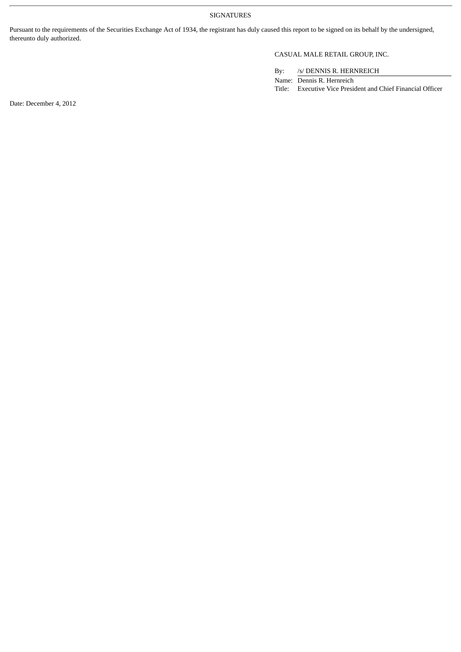# SIGNATURES

Pursuant to the requirements of the Securities Exchange Act of 1934, the registrant has duly caused this report to be signed on its behalf by the undersigned, thereunto duly authorized.

# CASUAL MALE RETAIL GROUP, INC.

By: /s/ DENNIS R. HERNREICH

Name: Dennis R. Hernreich Title: Executive Vice President and Chief Financial Officer

Date: December 4, 2012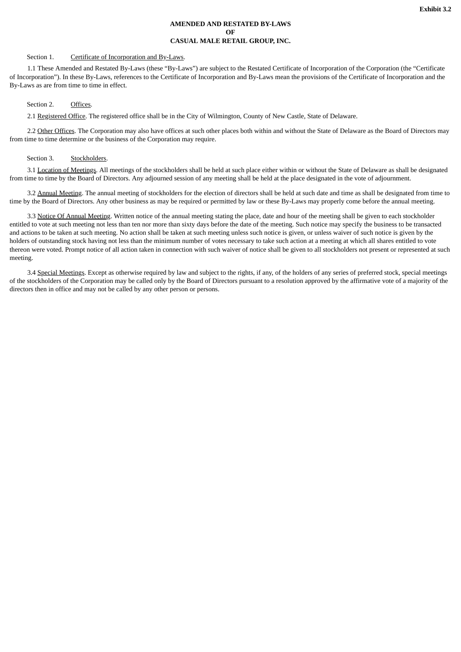# **AMENDED AND RESTATED BY-LAWS OF CASUAL MALE RETAIL GROUP, INC.**

# Section 1. Certificate of Incorporation and By-Laws.

1.1 These Amended and Restated By-Laws (these "By-Laws") are subject to the Restated Certificate of Incorporation of the Corporation (the "Certificate of Incorporation"). In these By-Laws, references to the Certificate of Incorporation and By-Laws mean the provisions of the Certificate of Incorporation and the By-Laws as are from time to time in effect.

#### Section 2. Offices.

2.1 Registered Office. The registered office shall be in the City of Wilmington, County of New Castle, State of Delaware.

2.2 Other Offices. The Corporation may also have offices at such other places both within and without the State of Delaware as the Board of Directors may from time to time determine or the business of the Corporation may require.

# Section 3. Stockholders.

3.1 Location of Meetings. All meetings of the stockholders shall be held at such place either within or without the State of Delaware as shall be designated from time to time by the Board of Directors. Any adjourned session of any meeting shall be held at the place designated in the vote of adjournment.

3.2 Annual Meeting. The annual meeting of stockholders for the election of directors shall be held at such date and time as shall be designated from time to time by the Board of Directors. Any other business as may be required or permitted by law or these By-Laws may properly come before the annual meeting.

3.3 Notice Of Annual Meeting. Written notice of the annual meeting stating the place, date and hour of the meeting shall be given to each stockholder entitled to vote at such meeting not less than ten nor more than sixty days before the date of the meeting. Such notice may specify the business to be transacted and actions to be taken at such meeting. No action shall be taken at such meeting unless such notice is given, or unless waiver of such notice is given by the holders of outstanding stock having not less than the minimum number of votes necessary to take such action at a meeting at which all shares entitled to vote thereon were voted. Prompt notice of all action taken in connection with such waiver of notice shall be given to all stockholders not present or represented at such meeting.

3.4 Special Meetings. Except as otherwise required by law and subject to the rights, if any, of the holders of any series of preferred stock, special meetings of the stockholders of the Corporation may be called only by the Board of Directors pursuant to a resolution approved by the affirmative vote of a majority of the directors then in office and may not be called by any other person or persons.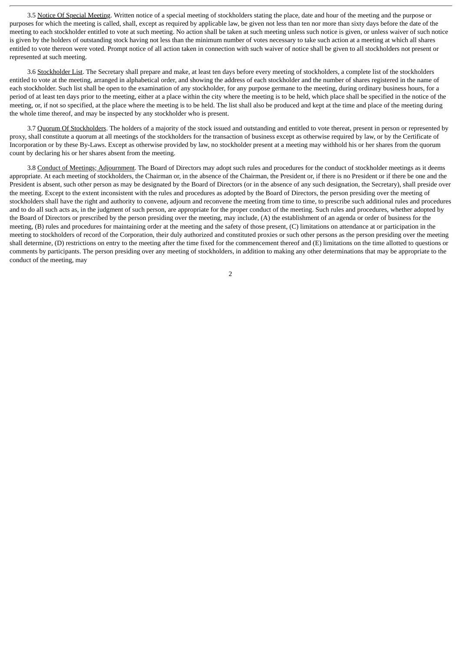3.5 Notice Of Special Meeting. Written notice of a special meeting of stockholders stating the place, date and hour of the meeting and the purpose or purposes for which the meeting is called, shall, except as required by applicable law, be given not less than ten nor more than sixty days before the date of the meeting to each stockholder entitled to vote at such meeting. No action shall be taken at such meeting unless such notice is given, or unless waiver of such notice is given by the holders of outstanding stock having not less than the minimum number of votes necessary to take such action at a meeting at which all shares entitled to vote thereon were voted. Prompt notice of all action taken in connection with such waiver of notice shall be given to all stockholders not present or represented at such meeting.

3.6 Stockholder List. The Secretary shall prepare and make, at least ten days before every meeting of stockholders, a complete list of the stockholders entitled to vote at the meeting, arranged in alphabetical order, and showing the address of each stockholder and the number of shares registered in the name of each stockholder. Such list shall be open to the examination of any stockholder, for any purpose germane to the meeting, during ordinary business hours, for a period of at least ten days prior to the meeting, either at a place within the city where the meeting is to be held, which place shall be specified in the notice of the meeting, or, if not so specified, at the place where the meeting is to be held. The list shall also be produced and kept at the time and place of the meeting during the whole time thereof, and may be inspected by any stockholder who is present.

3.7 Quorum Of Stockholders. The holders of a majority of the stock issued and outstanding and entitled to vote thereat, present in person or represented by proxy, shall constitute a quorum at all meetings of the stockholders for the transaction of business except as otherwise required by law, or by the Certificate of Incorporation or by these By-Laws. Except as otherwise provided by law, no stockholder present at a meeting may withhold his or her shares from the quorum count by declaring his or her shares absent from the meeting.

3.8 Conduct of Meetings; Adjournment. The Board of Directors may adopt such rules and procedures for the conduct of stockholder meetings as it deems appropriate. At each meeting of stockholders, the Chairman or, in the absence of the Chairman, the President or, if there is no President or if there be one and the President is absent, such other person as may be designated by the Board of Directors (or in the absence of any such designation, the Secretary), shall preside over the meeting. Except to the extent inconsistent with the rules and procedures as adopted by the Board of Directors, the person presiding over the meeting of stockholders shall have the right and authority to convene, adjourn and reconvene the meeting from time to time, to prescribe such additional rules and procedures and to do all such acts as, in the judgment of such person, are appropriate for the proper conduct of the meeting. Such rules and procedures, whether adopted by the Board of Directors or prescribed by the person presiding over the meeting, may include, (A) the establishment of an agenda or order of business for the meeting, (B) rules and procedures for maintaining order at the meeting and the safety of those present, (C) limitations on attendance at or participation in the meeting to stockholders of record of the Corporation, their duly authorized and constituted proxies or such other persons as the person presiding over the meeting shall determine, (D) restrictions on entry to the meeting after the time fixed for the commencement thereof and (E) limitations on the time allotted to questions or comments by participants. The person presiding over any meeting of stockholders, in addition to making any other determinations that may be appropriate to the conduct of the meeting, may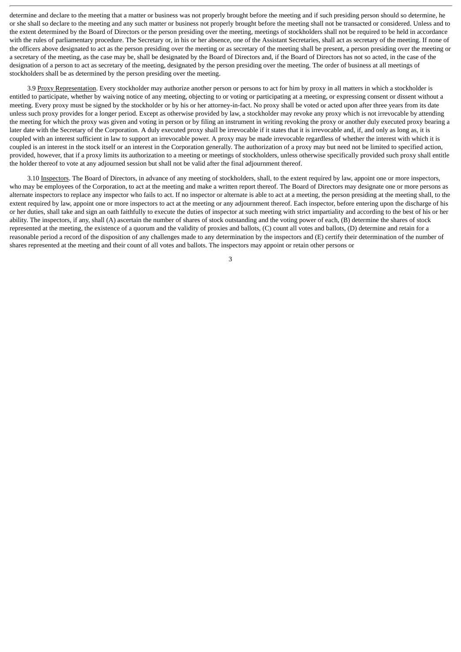determine and declare to the meeting that a matter or business was not properly brought before the meeting and if such presiding person should so determine, he or she shall so declare to the meeting and any such matter or business not properly brought before the meeting shall not be transacted or considered. Unless and to the extent determined by the Board of Directors or the person presiding over the meeting, meetings of stockholders shall not be required to be held in accordance with the rules of parliamentary procedure. The Secretary or, in his or her absence, one of the Assistant Secretaries, shall act as secretary of the meeting. If none of the officers above designated to act as the person presiding over the meeting or as secretary of the meeting shall be present, a person presiding over the meeting or a secretary of the meeting, as the case may be, shall be designated by the Board of Directors and, if the Board of Directors has not so acted, in the case of the designation of a person to act as secretary of the meeting, designated by the person presiding over the meeting. The order of business at all meetings of stockholders shall be as determined by the person presiding over the meeting.

3.9 Proxy Representation. Every stockholder may authorize another person or persons to act for him by proxy in all matters in which a stockholder is entitled to participate, whether by waiving notice of any meeting, objecting to or voting or participating at a meeting, or expressing consent or dissent without a meeting. Every proxy must be signed by the stockholder or by his or her attorney-in-fact. No proxy shall be voted or acted upon after three years from its date unless such proxy provides for a longer period. Except as otherwise provided by law, a stockholder may revoke any proxy which is not irrevocable by attending the meeting for which the proxy was given and voting in person or by filing an instrument in writing revoking the proxy or another duly executed proxy bearing a later date with the Secretary of the Corporation. A duly executed proxy shall be irrevocable if it states that it is irrevocable and, if, and only as long as, it is coupled with an interest sufficient in law to support an irrevocable power. A proxy may be made irrevocable regardless of whether the interest with which it is coupled is an interest in the stock itself or an interest in the Corporation generally. The authorization of a proxy may but need not be limited to specified action, provided, however, that if a proxy limits its authorization to a meeting or meetings of stockholders, unless otherwise specifically provided such proxy shall entitle the holder thereof to vote at any adjourned session but shall not be valid after the final adjournment thereof.

3.10 Inspectors. The Board of Directors, in advance of any meeting of stockholders, shall, to the extent required by law, appoint one or more inspectors, who may be employees of the Corporation, to act at the meeting and make a written report thereof. The Board of Directors may designate one or more persons as alternate inspectors to replace any inspector who fails to act. If no inspector or alternate is able to act at a meeting, the person presiding at the meeting shall, to the extent required by law, appoint one or more inspectors to act at the meeting or any adjournment thereof. Each inspector, before entering upon the discharge of his or her duties, shall take and sign an oath faithfully to execute the duties of inspector at such meeting with strict impartiality and according to the best of his or her ability. The inspectors, if any, shall (A) ascertain the number of shares of stock outstanding and the voting power of each, (B) determine the shares of stock represented at the meeting, the existence of a quorum and the validity of proxies and ballots, (C) count all votes and ballots, (D) determine and retain for a reasonable period a record of the disposition of any challenges made to any determination by the inspectors and (E) certify their determination of the number of shares represented at the meeting and their count of all votes and ballots. The inspectors may appoint or retain other persons or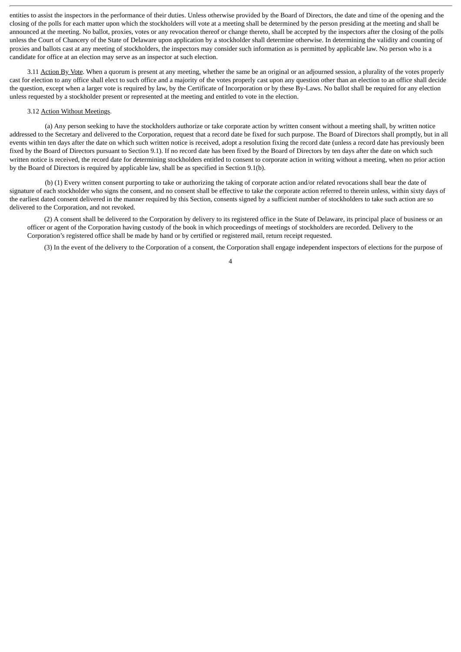entities to assist the inspectors in the performance of their duties. Unless otherwise provided by the Board of Directors, the date and time of the opening and the closing of the polls for each matter upon which the stockholders will vote at a meeting shall be determined by the person presiding at the meeting and shall be announced at the meeting. No ballot, proxies, votes or any revocation thereof or change thereto, shall be accepted by the inspectors after the closing of the polls unless the Court of Chancery of the State of Delaware upon application by a stockholder shall determine otherwise. In determining the validity and counting of proxies and ballots cast at any meeting of stockholders, the inspectors may consider such information as is permitted by applicable law. No person who is a candidate for office at an election may serve as an inspector at such election.

3.11 Action By Vote. When a quorum is present at any meeting, whether the same be an original or an adjourned session, a plurality of the votes properly cast for election to any office shall elect to such office and a majority of the votes properly cast upon any question other than an election to an office shall decide the question, except when a larger vote is required by law, by the Certificate of Incorporation or by these By-Laws. No ballot shall be required for any election unless requested by a stockholder present or represented at the meeting and entitled to vote in the election.

#### 3.12 Action Without Meetings.

(a) Any person seeking to have the stockholders authorize or take corporate action by written consent without a meeting shall, by written notice addressed to the Secretary and delivered to the Corporation, request that a record date be fixed for such purpose. The Board of Directors shall promptly, but in all events within ten days after the date on which such written notice is received, adopt a resolution fixing the record date (unless a record date has previously been fixed by the Board of Directors pursuant to Section 9.1). If no record date has been fixed by the Board of Directors by ten days after the date on which such written notice is received, the record date for determining stockholders entitled to consent to corporate action in writing without a meeting, when no prior action by the Board of Directors is required by applicable law, shall be as specified in Section 9.1(b).

(b) (1) Every written consent purporting to take or authorizing the taking of corporate action and/or related revocations shall bear the date of signature of each stockholder who signs the consent, and no consent shall be effective to take the corporate action referred to therein unless, within sixty days of the earliest dated consent delivered in the manner required by this Section, consents signed by a sufficient number of stockholders to take such action are so delivered to the Corporation, and not revoked.

(2) A consent shall be delivered to the Corporation by delivery to its registered office in the State of Delaware, its principal place of business or an officer or agent of the Corporation having custody of the book in which proceedings of meetings of stockholders are recorded. Delivery to the Corporation's registered office shall be made by hand or by certified or registered mail, return receipt requested.

4

(3) In the event of the delivery to the Corporation of a consent, the Corporation shall engage independent inspectors of elections for the purpose of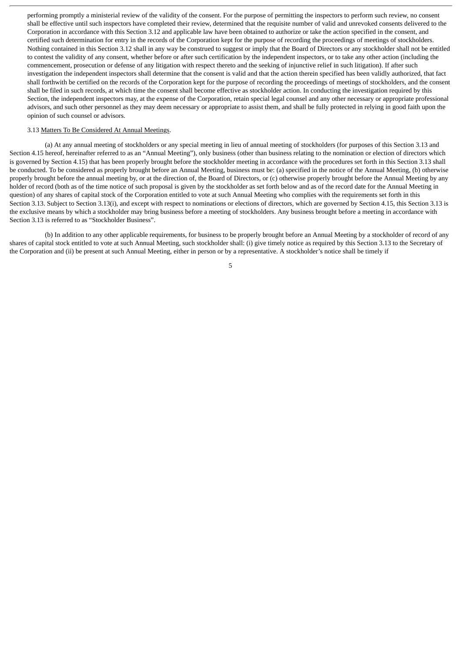performing promptly a ministerial review of the validity of the consent. For the purpose of permitting the inspectors to perform such review, no consent shall be effective until such inspectors have completed their review, determined that the requisite number of valid and unrevoked consents delivered to the Corporation in accordance with this Section 3.12 and applicable law have been obtained to authorize or take the action specified in the consent, and certified such determination for entry in the records of the Corporation kept for the purpose of recording the proceedings of meetings of stockholders. Nothing contained in this Section 3.12 shall in any way be construed to suggest or imply that the Board of Directors or any stockholder shall not be entitled to contest the validity of any consent, whether before or after such certification by the independent inspectors, or to take any other action (including the commencement, prosecution or defense of any litigation with respect thereto and the seeking of injunctive relief in such litigation). If after such investigation the independent inspectors shall determine that the consent is valid and that the action therein specified has been validly authorized, that fact shall forthwith be certified on the records of the Corporation kept for the purpose of recording the proceedings of meetings of stockholders, and the consent shall be filed in such records, at which time the consent shall become effective as stockholder action. In conducting the investigation required by this Section, the independent inspectors may, at the expense of the Corporation, retain special legal counsel and any other necessary or appropriate professional advisors, and such other personnel as they may deem necessary or appropriate to assist them, and shall be fully protected in relying in good faith upon the opinion of such counsel or advisors.

### 3.13 Matters To Be Considered At Annual Meetings.

(a) At any annual meeting of stockholders or any special meeting in lieu of annual meeting of stockholders (for purposes of this Section 3.13 and Section 4.15 hereof, hereinafter referred to as an "Annual Meeting"), only business (other than business relating to the nomination or election of directors which is governed by Section 4.15) that has been properly brought before the stockholder meeting in accordance with the procedures set forth in this Section 3.13 shall be conducted. To be considered as properly brought before an Annual Meeting, business must be: (a) specified in the notice of the Annual Meeting, (b) otherwise properly brought before the annual meeting by, or at the direction of, the Board of Directors, or (c) otherwise properly brought before the Annual Meeting by any holder of record (both as of the time notice of such proposal is given by the stockholder as set forth below and as of the record date for the Annual Meeting in question) of any shares of capital stock of the Corporation entitled to vote at such Annual Meeting who complies with the requirements set forth in this Section 3.13. Subject to Section 3.13(i), and except with respect to nominations or elections of directors, which are governed by Section 4.15, this Section 3.13 is the exclusive means by which a stockholder may bring business before a meeting of stockholders. Any business brought before a meeting in accordance with Section 3.13 is referred to as "Stockholder Business".

(b) In addition to any other applicable requirements, for business to be properly brought before an Annual Meeting by a stockholder of record of any shares of capital stock entitled to vote at such Annual Meeting, such stockholder shall: (i) give timely notice as required by this Section 3.13 to the Secretary of the Corporation and (ii) be present at such Annual Meeting, either in person or by a representative. A stockholder's notice shall be timely if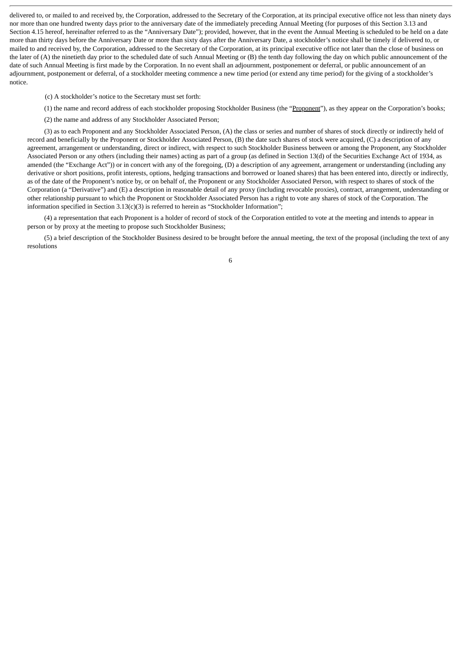delivered to, or mailed to and received by, the Corporation, addressed to the Secretary of the Corporation, at its principal executive office not less than ninety days nor more than one hundred twenty days prior to the anniversary date of the immediately preceding Annual Meeting (for purposes of this Section 3.13 and Section 4.15 hereof, hereinafter referred to as the "Anniversary Date"); provided, however, that in the event the Annual Meeting is scheduled to be held on a date more than thirty days before the Anniversary Date or more than sixty days after the Anniversary Date, a stockholder's notice shall be timely if delivered to, or mailed to and received by, the Corporation, addressed to the Secretary of the Corporation, at its principal executive office not later than the close of business on the later of (A) the ninetieth day prior to the scheduled date of such Annual Meeting or (B) the tenth day following the day on which public announcement of the date of such Annual Meeting is first made by the Corporation. In no event shall an adjournment, postponement or deferral, or public announcement of an adjournment, postponement or deferral, of a stockholder meeting commence a new time period (or extend any time period) for the giving of a stockholder's notice.

(c) A stockholder's notice to the Secretary must set forth:

- (1) the name and record address of each stockholder proposing Stockholder Business (the "Proponent"), as they appear on the Corporation's books;
- (2) the name and address of any Stockholder Associated Person;

(3) as to each Proponent and any Stockholder Associated Person, (A) the class or series and number of shares of stock directly or indirectly held of record and beneficially by the Proponent or Stockholder Associated Person, (B) the date such shares of stock were acquired, (C) a description of any agreement, arrangement or understanding, direct or indirect, with respect to such Stockholder Business between or among the Proponent, any Stockholder Associated Person or any others (including their names) acting as part of a group (as defined in Section 13(d) of the Securities Exchange Act of 1934, as amended (the "Exchange Act")) or in concert with any of the foregoing, (D) a description of any agreement, arrangement or understanding (including any derivative or short positions, profit interests, options, hedging transactions and borrowed or loaned shares) that has been entered into, directly or indirectly, as of the date of the Proponent's notice by, or on behalf of, the Proponent or any Stockholder Associated Person, with respect to shares of stock of the Corporation (a "Derivative") and (E) a description in reasonable detail of any proxy (including revocable proxies), contract, arrangement, understanding or other relationship pursuant to which the Proponent or Stockholder Associated Person has a right to vote any shares of stock of the Corporation. The information specified in Section 3.13(c)(3) is referred to herein as "Stockholder Information";

(4) a representation that each Proponent is a holder of record of stock of the Corporation entitled to vote at the meeting and intends to appear in person or by proxy at the meeting to propose such Stockholder Business;

(5) a brief description of the Stockholder Business desired to be brought before the annual meeting, the text of the proposal (including the text of any resolutions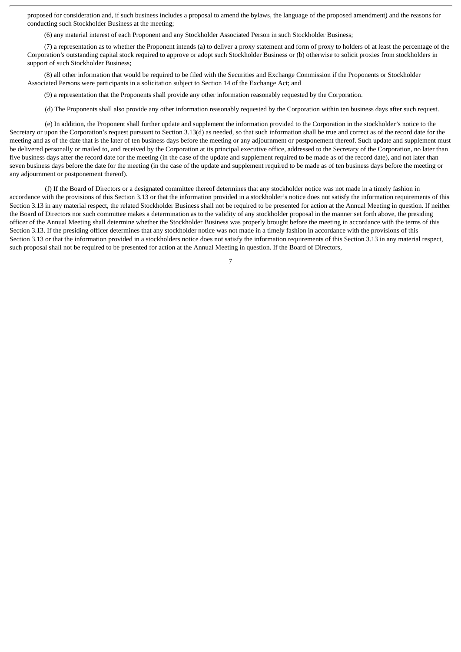proposed for consideration and, if such business includes a proposal to amend the bylaws, the language of the proposed amendment) and the reasons for conducting such Stockholder Business at the meeting;

(6) any material interest of each Proponent and any Stockholder Associated Person in such Stockholder Business;

(7) a representation as to whether the Proponent intends (a) to deliver a proxy statement and form of proxy to holders of at least the percentage of the Corporation's outstanding capital stock required to approve or adopt such Stockholder Business or (b) otherwise to solicit proxies from stockholders in support of such Stockholder Business;

(8) all other information that would be required to be filed with the Securities and Exchange Commission if the Proponents or Stockholder Associated Persons were participants in a solicitation subject to Section 14 of the Exchange Act; and

(9) a representation that the Proponents shall provide any other information reasonably requested by the Corporation.

(d) The Proponents shall also provide any other information reasonably requested by the Corporation within ten business days after such request.

(e) In addition, the Proponent shall further update and supplement the information provided to the Corporation in the stockholder's notice to the Secretary or upon the Corporation's request pursuant to Section 3.13(d) as needed, so that such information shall be true and correct as of the record date for the meeting and as of the date that is the later of ten business days before the meeting or any adjournment or postponement thereof. Such update and supplement must be delivered personally or mailed to, and received by the Corporation at its principal executive office, addressed to the Secretary of the Corporation, no later than five business days after the record date for the meeting (in the case of the update and supplement required to be made as of the record date), and not later than seven business days before the date for the meeting (in the case of the update and supplement required to be made as of ten business days before the meeting or any adjournment or postponement thereof).

(f) If the Board of Directors or a designated committee thereof determines that any stockholder notice was not made in a timely fashion in accordance with the provisions of this Section 3.13 or that the information provided in a stockholder's notice does not satisfy the information requirements of this Section 3.13 in any material respect, the related Stockholder Business shall not be required to be presented for action at the Annual Meeting in question. If neither the Board of Directors nor such committee makes a determination as to the validity of any stockholder proposal in the manner set forth above, the presiding officer of the Annual Meeting shall determine whether the Stockholder Business was properly brought before the meeting in accordance with the terms of this Section 3.13. If the presiding officer determines that any stockholder notice was not made in a timely fashion in accordance with the provisions of this Section 3.13 or that the information provided in a stockholders notice does not satisfy the information requirements of this Section 3.13 in any material respect, such proposal shall not be required to be presented for action at the Annual Meeting in question. If the Board of Directors,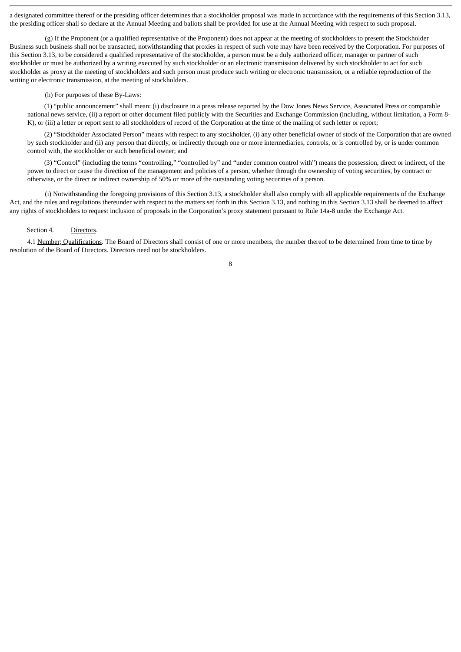a designated committee thereof or the presiding officer determines that a stockholder proposal was made in accordance with the requirements of this Section 3.13, the presiding officer shall so declare at the Annual Meeting and ballots shall be provided for use at the Annual Meeting with respect to such proposal.

(g) If the Proponent (or a qualified representative of the Proponent) does not appear at the meeting of stockholders to present the Stockholder Business such business shall not be transacted, notwithstanding that proxies in respect of such vote may have been received by the Corporation. For purposes of this Section 3.13, to be considered a qualified representative of the stockholder, a person must be a duly authorized officer, manager or partner of such stockholder or must be authorized by a writing executed by such stockholder or an electronic transmission delivered by such stockholder to act for such stockholder as proxy at the meeting of stockholders and such person must produce such writing or electronic transmission, or a reliable reproduction of the writing or electronic transmission, at the meeting of stockholders.

#### (h) For purposes of these By-Laws:

(1) "public announcement" shall mean: (i) disclosure in a press release reported by the Dow Jones News Service, Associated Press or comparable national news service, (ii) a report or other document filed publicly with the Securities and Exchange Commission (including, without limitation, a Form 8- K), or (iii) a letter or report sent to all stockholders of record of the Corporation at the time of the mailing of such letter or report;

(2) "Stockholder Associated Person" means with respect to any stockholder, (i) any other beneficial owner of stock of the Corporation that are owned by such stockholder and (ii) any person that directly, or indirectly through one or more intermediaries, controls, or is controlled by, or is under common control with, the stockholder or such beneficial owner; and

(3) "Control" (including the terms "controlling," "controlled by" and "under common control with") means the possession, direct or indirect, of the power to direct or cause the direction of the management and policies of a person, whether through the ownership of voting securities, by contract or otherwise, or the direct or indirect ownership of 50% or more of the outstanding voting securities of a person.

(i) Notwithstanding the foregoing provisions of this Section 3.13, a stockholder shall also comply with all applicable requirements of the Exchange Act, and the rules and regulations thereunder with respect to the matters set forth in this Section 3.13, and nothing in this Section 3.13 shall be deemed to affect any rights of stockholders to request inclusion of proposals in the Corporation's proxy statement pursuant to Rule 14a-8 under the Exchange Act.

#### Section 4. Directors.

4.1 Number; Qualifications. The Board of Directors shall consist of one or more members, the number thereof to be determined from time to time by resolution of the Board of Directors. Directors need not be stockholders.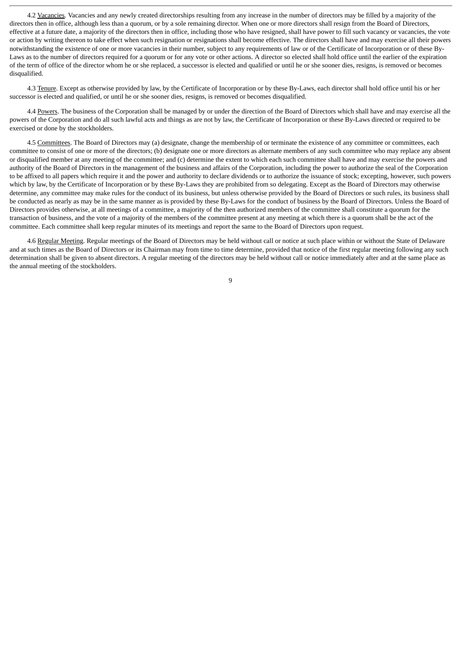4.2 Vacancies. Vacancies and any newly created directorships resulting from any increase in the number of directors may be filled by a majority of the directors then in office, although less than a quorum, or by a sole remaining director. When one or more directors shall resign from the Board of Directors, effective at a future date, a majority of the directors then in office, including those who have resigned, shall have power to fill such vacancy or vacancies, the vote or action by writing thereon to take effect when such resignation or resignations shall become effective. The directors shall have and may exercise all their powers notwithstanding the existence of one or more vacancies in their number, subject to any requirements of law or of the Certificate of Incorporation or of these By-Laws as to the number of directors required for a quorum or for any vote or other actions. A director so elected shall hold office until the earlier of the expiration of the term of office of the director whom he or she replaced, a successor is elected and qualified or until he or she sooner dies, resigns, is removed or becomes disqualified.

4.3 Tenure. Except as otherwise provided by law, by the Certificate of Incorporation or by these By-Laws, each director shall hold office until his or her successor is elected and qualified, or until he or she sooner dies, resigns, is removed or becomes disqualified.

4.4 Powers. The business of the Corporation shall be managed by or under the direction of the Board of Directors which shall have and may exercise all the powers of the Corporation and do all such lawful acts and things as are not by law, the Certificate of Incorporation or these By-Laws directed or required to be exercised or done by the stockholders.

4.5 Committees. The Board of Directors may (a) designate, change the membership of or terminate the existence of any committee or committees, each committee to consist of one or more of the directors; (b) designate one or more directors as alternate members of any such committee who may replace any absent or disqualified member at any meeting of the committee; and (c) determine the extent to which each such committee shall have and may exercise the powers and authority of the Board of Directors in the management of the business and affairs of the Corporation, including the power to authorize the seal of the Corporation to be affixed to all papers which require it and the power and authority to declare dividends or to authorize the issuance of stock; excepting, however, such powers which by law, by the Certificate of Incorporation or by these By-Laws they are prohibited from so delegating. Except as the Board of Directors may otherwise determine, any committee may make rules for the conduct of its business, but unless otherwise provided by the Board of Directors or such rules, its business shall be conducted as nearly as may be in the same manner as is provided by these By-Laws for the conduct of business by the Board of Directors. Unless the Board of Directors provides otherwise, at all meetings of a committee, a majority of the then authorized members of the committee shall constitute a quorum for the transaction of business, and the vote of a majority of the members of the committee present at any meeting at which there is a quorum shall be the act of the committee. Each committee shall keep regular minutes of its meetings and report the same to the Board of Directors upon request.

4.6 Regular Meeting. Regular meetings of the Board of Directors may be held without call or notice at such place within or without the State of Delaware and at such times as the Board of Directors or its Chairman may from time to time determine, provided that notice of the first regular meeting following any such determination shall be given to absent directors. A regular meeting of the directors may be held without call or notice immediately after and at the same place as the annual meeting of the stockholders.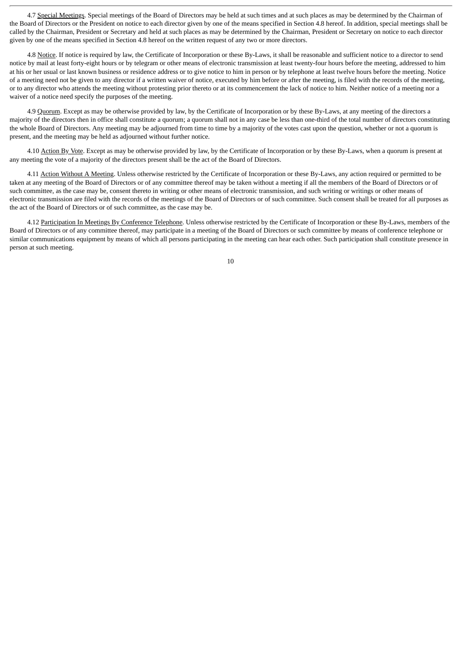4.7 Special Meetings. Special meetings of the Board of Directors may be held at such times and at such places as may be determined by the Chairman of the Board of Directors or the President on notice to each director given by one of the means specified in Section 4.8 hereof. In addition, special meetings shall be called by the Chairman, President or Secretary and held at such places as may be determined by the Chairman, President or Secretary on notice to each director given by one of the means specified in Section 4.8 hereof on the written request of any two or more directors.

4.8 Notice. If notice is required by law, the Certificate of Incorporation or these By-Laws, it shall be reasonable and sufficient notice to a director to send notice by mail at least forty-eight hours or by telegram or other means of electronic transmission at least twenty-four hours before the meeting, addressed to him at his or her usual or last known business or residence address or to give notice to him in person or by telephone at least twelve hours before the meeting. Notice of a meeting need not be given to any director if a written waiver of notice, executed by him before or after the meeting, is filed with the records of the meeting, or to any director who attends the meeting without protesting prior thereto or at its commencement the lack of notice to him. Neither notice of a meeting nor a waiver of a notice need specify the purposes of the meeting.

4.9 Quorum. Except as may be otherwise provided by law, by the Certificate of Incorporation or by these By-Laws, at any meeting of the directors a majority of the directors then in office shall constitute a quorum; a quorum shall not in any case be less than one-third of the total number of directors constituting the whole Board of Directors. Any meeting may be adjourned from time to time by a majority of the votes cast upon the question, whether or not a quorum is present, and the meeting may be held as adjourned without further notice.

4.10 Action By Vote. Except as may be otherwise provided by law, by the Certificate of Incorporation or by these By-Laws, when a quorum is present at any meeting the vote of a majority of the directors present shall be the act of the Board of Directors.

4.11 Action Without A Meeting. Unless otherwise restricted by the Certificate of Incorporation or these By-Laws, any action required or permitted to be taken at any meeting of the Board of Directors or of any committee thereof may be taken without a meeting if all the members of the Board of Directors or of such committee, as the case may be, consent thereto in writing or other means of electronic transmission, and such writing or writings or other means of electronic transmission are filed with the records of the meetings of the Board of Directors or of such committee. Such consent shall be treated for all purposes as the act of the Board of Directors or of such committee, as the case may be.

4.12 Participation In Meetings By Conference Telephone. Unless otherwise restricted by the Certificate of Incorporation or these By-Laws, members of the Board of Directors or of any committee thereof, may participate in a meeting of the Board of Directors or such committee by means of conference telephone or similar communications equipment by means of which all persons participating in the meeting can hear each other. Such participation shall constitute presence in person at such meeting.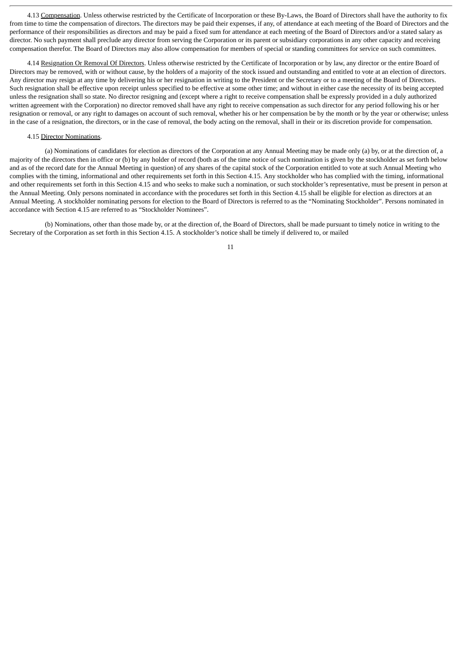4.13 Compensation. Unless otherwise restricted by the Certificate of Incorporation or these By-Laws, the Board of Directors shall have the authority to fix from time to time the compensation of directors. The directors may be paid their expenses, if any, of attendance at each meeting of the Board of Directors and the performance of their responsibilities as directors and may be paid a fixed sum for attendance at each meeting of the Board of Directors and/or a stated salary as director. No such payment shall preclude any director from serving the Corporation or its parent or subsidiary corporations in any other capacity and receiving compensation therefor. The Board of Directors may also allow compensation for members of special or standing committees for service on such committees.

4.14 Resignation Or Removal Of Directors. Unless otherwise restricted by the Certificate of Incorporation or by law, any director or the entire Board of Directors may be removed, with or without cause, by the holders of a majority of the stock issued and outstanding and entitled to vote at an election of directors. Any director may resign at any time by delivering his or her resignation in writing to the President or the Secretary or to a meeting of the Board of Directors. Such resignation shall be effective upon receipt unless specified to be effective at some other time; and without in either case the necessity of its being accepted unless the resignation shall so state. No director resigning and (except where a right to receive compensation shall be expressly provided in a duly authorized written agreement with the Corporation) no director removed shall have any right to receive compensation as such director for any period following his or her resignation or removal, or any right to damages on account of such removal, whether his or her compensation be by the month or by the year or otherwise; unless in the case of a resignation, the directors, or in the case of removal, the body acting on the removal, shall in their or its discretion provide for compensation.

#### 4.15 Director Nominations.

(a) Nominations of candidates for election as directors of the Corporation at any Annual Meeting may be made only (a) by, or at the direction of, a majority of the directors then in office or (b) by any holder of record (both as of the time notice of such nomination is given by the stockholder as set forth below and as of the record date for the Annual Meeting in question) of any shares of the capital stock of the Corporation entitled to vote at such Annual Meeting who complies with the timing, informational and other requirements set forth in this Section 4.15. Any stockholder who has complied with the timing, informational and other requirements set forth in this Section 4.15 and who seeks to make such a nomination, or such stockholder's representative, must be present in person at the Annual Meeting. Only persons nominated in accordance with the procedures set forth in this Section 4.15 shall be eligible for election as directors at an Annual Meeting. A stockholder nominating persons for election to the Board of Directors is referred to as the "Nominating Stockholder". Persons nominated in accordance with Section 4.15 are referred to as "Stockholder Nominees".

(b) Nominations, other than those made by, or at the direction of, the Board of Directors, shall be made pursuant to timely notice in writing to the Secretary of the Corporation as set forth in this Section 4.15. A stockholder's notice shall be timely if delivered to, or mailed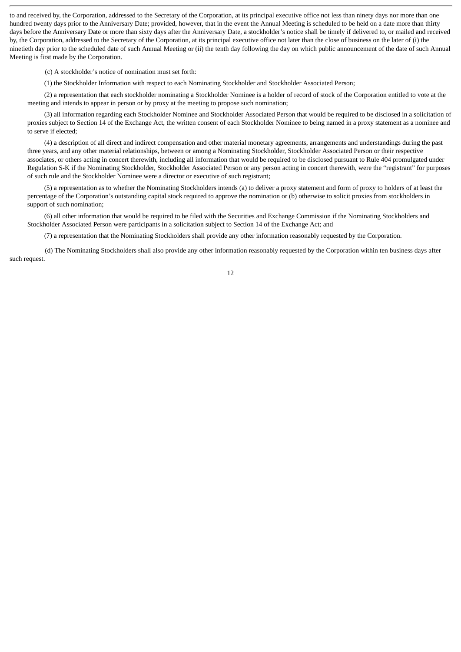to and received by, the Corporation, addressed to the Secretary of the Corporation, at its principal executive office not less than ninety days nor more than one hundred twenty days prior to the Anniversary Date; provided, however, that in the event the Annual Meeting is scheduled to be held on a date more than thirty days before the Anniversary Date or more than sixty days after the Anniversary Date, a stockholder's notice shall be timely if delivered to, or mailed and received by, the Corporation, addressed to the Secretary of the Corporation, at its principal executive office not later than the close of business on the later of (i) the ninetieth day prior to the scheduled date of such Annual Meeting or (ii) the tenth day following the day on which public announcement of the date of such Annual Meeting is first made by the Corporation.

(c) A stockholder's notice of nomination must set forth:

(1) the Stockholder Information with respect to each Nominating Stockholder and Stockholder Associated Person;

(2) a representation that each stockholder nominating a Stockholder Nominee is a holder of record of stock of the Corporation entitled to vote at the meeting and intends to appear in person or by proxy at the meeting to propose such nomination;

(3) all information regarding each Stockholder Nominee and Stockholder Associated Person that would be required to be disclosed in a solicitation of proxies subject to Section 14 of the Exchange Act, the written consent of each Stockholder Nominee to being named in a proxy statement as a nominee and to serve if elected;

(4) a description of all direct and indirect compensation and other material monetary agreements, arrangements and understandings during the past three years, and any other material relationships, between or among a Nominating Stockholder, Stockholder Associated Person or their respective associates, or others acting in concert therewith, including all information that would be required to be disclosed pursuant to Rule 404 promulgated under Regulation S-K if the Nominating Stockholder, Stockholder Associated Person or any person acting in concert therewith, were the "registrant" for purposes of such rule and the Stockholder Nominee were a director or executive of such registrant;

(5) a representation as to whether the Nominating Stockholders intends (a) to deliver a proxy statement and form of proxy to holders of at least the percentage of the Corporation's outstanding capital stock required to approve the nomination or (b) otherwise to solicit proxies from stockholders in support of such nomination;

(6) all other information that would be required to be filed with the Securities and Exchange Commission if the Nominating Stockholders and Stockholder Associated Person were participants in a solicitation subject to Section 14 of the Exchange Act; and

(7) a representation that the Nominating Stockholders shall provide any other information reasonably requested by the Corporation.

(d) The Nominating Stockholders shall also provide any other information reasonably requested by the Corporation within ten business days after such request.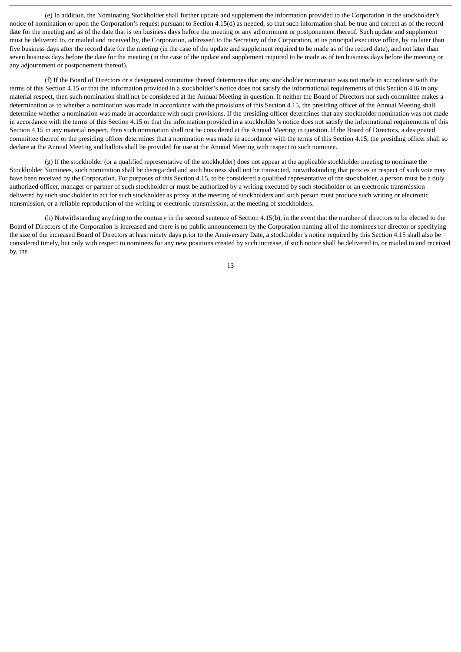(e) In addition, the Nominating Stockholder shall further update and supplement the information provided to the Corporation in the stockholder's notice of nomination or upon the Corporation's request pursuant to Section 4.15(d) as needed, so that such information shall be true and correct as of the record date for the meeting and as of the date that is ten business days before the meeting or any adjournment or postponement thereof. Such update and supplement must be delivered to, or mailed and received by, the Corporation, addressed to the Secretary of the Corporation, at its principal executive office, by no later than five business days after the record date for the meeting (in the case of the update and supplement required to be made as of the record date), and not later than seven business days before the date for the meeting (in the case of the update and supplement required to be made as of ten business days before the meeting or any adjournment or postponement thereof).

(f) If the Board of Directors or a designated committee thereof determines that any stockholder nomination was not made in accordance with the terms of this Section 4.15 or that the information provided in a stockholder's notice does not satisfy the informational requirements of this Section 4.l6 in any material respect, then such nomination shall not be considered at the Annual Meeting in question. If neither the Board of Directors nor such committee makes a determination as to whether a nomination was made in accordance with the provisions of this Section 4.15, the presiding officer of the Annual Meeting shall determine whether a nomination was made in accordance with such provisions. If the presiding officer determines that any stockholder nomination was not made in accordance with the terms of this Section 4.15 or that the information provided in a stockholder's notice does not satisfy the informational requirements of this Section 4.15 in any material respect, then such nomination shall not be considered at the Annual Meeting in question. If the Board of Directors, a designated committee thereof or the presiding officer determines that a nomination was made in accordance with the terms of this Section 4.15, the presiding officer shall so declare at the Annual Meeting and ballots shall be provided for use at the Annual Meeting with respect to such nominee.

(g) If the stockholder (or a qualified representative of the stockholder) does not appear at the applicable stockholder meeting to nominate the Stockholder Nominees, such nomination shall be disregarded and such business shall not be transacted, notwithstanding that proxies in respect of such vote may have been received by the Corporation. For purposes of this Section 4.15, to be considered a qualified representative of the stockholder, a person must be a duly authorized officer, manager or partner of such stockholder or must be authorized by a writing executed by such stockholder or an electronic transmission delivered by such stockholder to act for such stockholder as proxy at the meeting of stockholders and such person must produce such writing or electronic transmission, or a reliable reproduction of the writing or electronic transmission, at the meeting of stockholders.

(h) Notwithstanding anything to the contrary in the second sentence of Section 4.15(b), in the event that the number of directors to be elected to the Board of Directors of the Corporation is increased and there is no public announcement by the Corporation naming all of the nominees for director or specifying the size of the increased Board of Directors at least ninety days prior to the Anniversary Date, a stockholder's notice required by this Section 4.15 shall also be considered timely, but only with respect to nominees for any new positions created by such increase, if such notice shall be delivered to, or mailed to and received by, the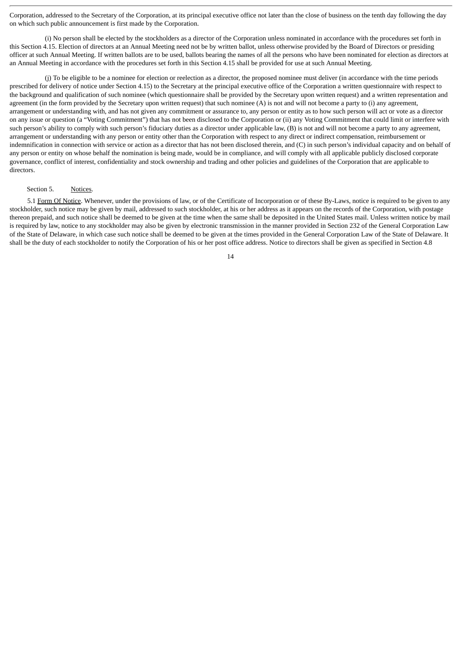Corporation, addressed to the Secretary of the Corporation, at its principal executive office not later than the close of business on the tenth day following the day on which such public announcement is first made by the Corporation.

(i) No person shall be elected by the stockholders as a director of the Corporation unless nominated in accordance with the procedures set forth in this Section 4.15. Election of directors at an Annual Meeting need not be by written ballot, unless otherwise provided by the Board of Directors or presiding officer at such Annual Meeting. If written ballots are to be used, ballots bearing the names of all the persons who have been nominated for election as directors at an Annual Meeting in accordance with the procedures set forth in this Section 4.15 shall be provided for use at such Annual Meeting.

(j) To be eligible to be a nominee for election or reelection as a director, the proposed nominee must deliver (in accordance with the time periods prescribed for delivery of notice under Section 4.15) to the Secretary at the principal executive office of the Corporation a written questionnaire with respect to the background and qualification of such nominee (which questionnaire shall be provided by the Secretary upon written request) and a written representation and agreement (in the form provided by the Secretary upon written request) that such nominee  $(A)$  is not and will not become a party to  $(i)$  any agreement, arrangement or understanding with, and has not given any commitment or assurance to, any person or entity as to how such person will act or vote as a director on any issue or question (a "Voting Commitment") that has not been disclosed to the Corporation or (ii) any Voting Commitment that could limit or interfere with such person's ability to comply with such person's fiduciary duties as a director under applicable law, (B) is not and will not become a party to any agreement, arrangement or understanding with any person or entity other than the Corporation with respect to any direct or indirect compensation, reimbursement or indemnification in connection with service or action as a director that has not been disclosed therein, and (C) in such person's individual capacity and on behalf of any person or entity on whose behalf the nomination is being made, would be in compliance, and will comply with all applicable publicly disclosed corporate governance, conflict of interest, confidentiality and stock ownership and trading and other policies and guidelines of the Corporation that are applicable to directors.

#### Section 5. Notices.

5.1 Form Of Notice. Whenever, under the provisions of law, or of the Certificate of Incorporation or of these By-Laws, notice is required to be given to any stockholder, such notice may be given by mail, addressed to such stockholder, at his or her address as it appears on the records of the Corporation, with postage thereon prepaid, and such notice shall be deemed to be given at the time when the same shall be deposited in the United States mail. Unless written notice by mail is required by law, notice to any stockholder may also be given by electronic transmission in the manner provided in Section 232 of the General Corporation Law of the State of Delaware, in which case such notice shall be deemed to be given at the times provided in the General Corporation Law of the State of Delaware. It shall be the duty of each stockholder to notify the Corporation of his or her post office address. Notice to directors shall be given as specified in Section 4.8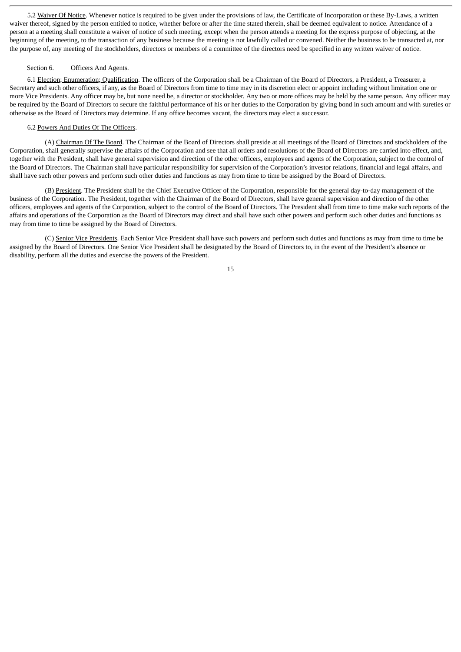5.2 Waiver Of Notice. Whenever notice is required to be given under the provisions of law, the Certificate of Incorporation or these By-Laws, a written waiver thereof, signed by the person entitled to notice, whether before or after the time stated therein, shall be deemed equivalent to notice. Attendance of a person at a meeting shall constitute a waiver of notice of such meeting, except when the person attends a meeting for the express purpose of objecting, at the beginning of the meeting, to the transaction of any business because the meeting is not lawfully called or convened. Neither the business to be transacted at, nor the purpose of, any meeting of the stockholders, directors or members of a committee of the directors need be specified in any written waiver of notice.

#### Section 6. Officers And Agents.

6.1 Election; Enumeration; Qualification. The officers of the Corporation shall be a Chairman of the Board of Directors, a President, a Treasurer, a Secretary and such other officers, if any, as the Board of Directors from time to time may in its discretion elect or appoint including without limitation one or more Vice Presidents. Any officer may be, but none need be, a director or stockholder. Any two or more offices may be held by the same person. Any officer may be required by the Board of Directors to secure the faithful performance of his or her duties to the Corporation by giving bond in such amount and with sureties or otherwise as the Board of Directors may determine. If any office becomes vacant, the directors may elect a successor.

#### 6.2 Powers And Duties Of The Officers.

(A) Chairman Of The Board. The Chairman of the Board of Directors shall preside at all meetings of the Board of Directors and stockholders of the Corporation, shall generally supervise the affairs of the Corporation and see that all orders and resolutions of the Board of Directors are carried into effect, and, together with the President, shall have general supervision and direction of the other officers, employees and agents of the Corporation, subject to the control of the Board of Directors. The Chairman shall have particular responsibility for supervision of the Corporation's investor relations, financial and legal affairs, and shall have such other powers and perform such other duties and functions as may from time to time be assigned by the Board of Directors.

(B) President. The President shall be the Chief Executive Officer of the Corporation, responsible for the general day-to-day management of the business of the Corporation. The President, together with the Chairman of the Board of Directors, shall have general supervision and direction of the other officers, employees and agents of the Corporation, subject to the control of the Board of Directors. The President shall from time to time make such reports of the affairs and operations of the Corporation as the Board of Directors may direct and shall have such other powers and perform such other duties and functions as may from time to time be assigned by the Board of Directors.

(C) Senior Vice Presidents. Each Senior Vice President shall have such powers and perform such duties and functions as may from time to time be assigned by the Board of Directors. One Senior Vice President shall be designated by the Board of Directors to, in the event of the President's absence or disability, perform all the duties and exercise the powers of the President.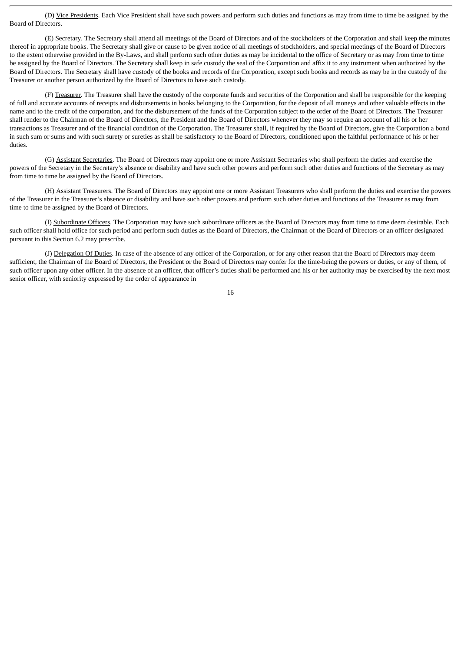(D) Vice Presidents. Each Vice President shall have such powers and perform such duties and functions as may from time to time be assigned by the Board of Directors.

(E) Secretary. The Secretary shall attend all meetings of the Board of Directors and of the stockholders of the Corporation and shall keep the minutes thereof in appropriate books. The Secretary shall give or cause to be given notice of all meetings of stockholders, and special meetings of the Board of Directors to the extent otherwise provided in the By-Laws, and shall perform such other duties as may be incidental to the office of Secretary or as may from time to time be assigned by the Board of Directors. The Secretary shall keep in safe custody the seal of the Corporation and affix it to any instrument when authorized by the Board of Directors. The Secretary shall have custody of the books and records of the Corporation, except such books and records as may be in the custody of the Treasurer or another person authorized by the Board of Directors to have such custody.

(F) Treasurer. The Treasurer shall have the custody of the corporate funds and securities of the Corporation and shall be responsible for the keeping of full and accurate accounts of receipts and disbursements in books belonging to the Corporation, for the deposit of all moneys and other valuable effects in the name and to the credit of the corporation, and for the disbursement of the funds of the Corporation subject to the order of the Board of Directors. The Treasurer shall render to the Chairman of the Board of Directors, the President and the Board of Directors whenever they may so require an account of all his or her transactions as Treasurer and of the financial condition of the Corporation. The Treasurer shall, if required by the Board of Directors, give the Corporation a bond in such sum or sums and with such surety or sureties as shall be satisfactory to the Board of Directors, conditioned upon the faithful performance of his or her duties.

(G) Assistant Secretaries. The Board of Directors may appoint one or more Assistant Secretaries who shall perform the duties and exercise the powers of the Secretary in the Secretary's absence or disability and have such other powers and perform such other duties and functions of the Secretary as may from time to time be assigned by the Board of Directors.

(H) Assistant Treasurers. The Board of Directors may appoint one or more Assistant Treasurers who shall perform the duties and exercise the powers of the Treasurer in the Treasurer's absence or disability and have such other powers and perform such other duties and functions of the Treasurer as may from time to time be assigned by the Board of Directors.

(I) Subordinate Officers. The Corporation may have such subordinate officers as the Board of Directors may from time to time deem desirable. Each such officer shall hold office for such period and perform such duties as the Board of Directors, the Chairman of the Board of Directors or an officer designated pursuant to this Section 6.2 may prescribe.

(J) Delegation Of Duties. In case of the absence of any officer of the Corporation, or for any other reason that the Board of Directors may deem sufficient, the Chairman of the Board of Directors, the President or the Board of Directors may confer for the time-being the powers or duties, or any of them, of such officer upon any other officer. In the absence of an officer, that officer's duties shall be performed and his or her authority may be exercised by the next most senior officer, with seniority expressed by the order of appearance in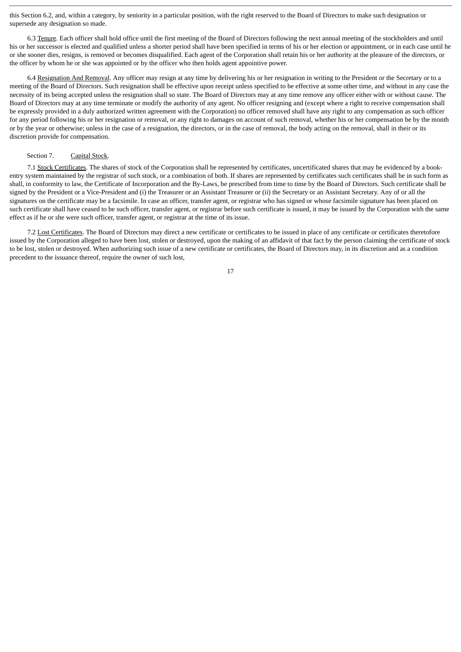this Section 6.2, and, within a category, by seniority in a particular position, with the right reserved to the Board of Directors to make such designation or supersede any designation so made.

6.3 Tenure. Each officer shall hold office until the first meeting of the Board of Directors following the next annual meeting of the stockholders and until his or her successor is elected and qualified unless a shorter period shall have been specified in terms of his or her election or appointment, or in each case until he or she sooner dies, resigns, is removed or becomes disqualified. Each agent of the Corporation shall retain his or her authority at the pleasure of the directors, or the officer by whom he or she was appointed or by the officer who then holds agent appointive power.

6.4 Resignation And Removal. Any officer may resign at any time by delivering his or her resignation in writing to the President or the Secretary or to a meeting of the Board of Directors. Such resignation shall be effective upon receipt unless specified to be effective at some other time, and without in any case the necessity of its being accepted unless the resignation shall so state. The Board of Directors may at any time remove any officer either with or without cause. The Board of Directors may at any time terminate or modify the authority of any agent. No officer resigning and (except where a right to receive compensation shall be expressly provided in a duly authorized written agreement with the Corporation) no officer removed shall have any right to any compensation as such officer for any period following his or her resignation or removal, or any right to damages on account of such removal, whether his or her compensation be by the month or by the year or otherwise; unless in the case of a resignation, the directors, or in the case of removal, the body acting on the removal, shall in their or its discretion provide for compensation.

# Section 7. Capital Stock.

7.1 Stock Certificates. The shares of stock of the Corporation shall be represented by certificates, uncertificated shares that may be evidenced by a bookentry system maintained by the registrar of such stock, or a combination of both. If shares are represented by certificates such certificates shall be in such form as shall, in conformity to law, the Certificate of Incorporation and the By-Laws, be prescribed from time to time by the Board of Directors. Such certificate shall be signed by the President or a Vice-President and (i) the Treasurer or an Assistant Treasurer or (ii) the Secretary or an Assistant Secretary. Any of or all the signatures on the certificate may be a facsimile. In case an officer, transfer agent, or registrar who has signed or whose facsimile signature has been placed on such certificate shall have ceased to be such officer, transfer agent, or registrar before such certificate is issued, it may be issued by the Corporation with the same effect as if he or she were such officer, transfer agent, or registrar at the time of its issue.

7.2 Lost Certificates. The Board of Directors may direct a new certificate or certificates to be issued in place of any certificate or certificates theretofore issued by the Corporation alleged to have been lost, stolen or destroyed, upon the making of an affidavit of that fact by the person claiming the certificate of stock to be lost, stolen or destroyed. When authorizing such issue of a new certificate or certificates, the Board of Directors may, in its discretion and as a condition precedent to the issuance thereof, require the owner of such lost,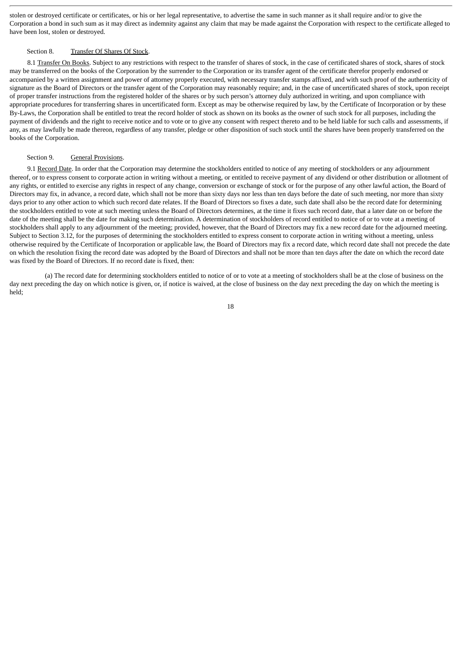stolen or destroyed certificate or certificates, or his or her legal representative, to advertise the same in such manner as it shall require and/or to give the Corporation a bond in such sum as it may direct as indemnity against any claim that may be made against the Corporation with respect to the certificate alleged to have been lost, stolen or destroyed.

# Section 8. Transfer Of Shares Of Stock.

8.1 Transfer On Books. Subject to any restrictions with respect to the transfer of shares of stock, in the case of certificated shares of stock, shares of stock may be transferred on the books of the Corporation by the surrender to the Corporation or its transfer agent of the certificate therefor properly endorsed or accompanied by a written assignment and power of attorney properly executed, with necessary transfer stamps affixed, and with such proof of the authenticity of signature as the Board of Directors or the transfer agent of the Corporation may reasonably require; and, in the case of uncertificated shares of stock, upon receipt of proper transfer instructions from the registered holder of the shares or by such person's attorney duly authorized in writing, and upon compliance with appropriate procedures for transferring shares in uncertificated form. Except as may be otherwise required by law, by the Certificate of Incorporation or by these By-Laws, the Corporation shall be entitled to treat the record holder of stock as shown on its books as the owner of such stock for all purposes, including the payment of dividends and the right to receive notice and to vote or to give any consent with respect thereto and to be held liable for such calls and assessments, if any, as may lawfully be made thereon, regardless of any transfer, pledge or other disposition of such stock until the shares have been properly transferred on the books of the Corporation.

# Section 9. General Provisions.

9.1 Record Date. In order that the Corporation may determine the stockholders entitled to notice of any meeting of stockholders or any adjournment thereof, or to express consent to corporate action in writing without a meeting, or entitled to receive payment of any dividend or other distribution or allotment of any rights, or entitled to exercise any rights in respect of any change, conversion or exchange of stock or for the purpose of any other lawful action, the Board of Directors may fix, in advance, a record date, which shall not be more than sixty days nor less than ten days before the date of such meeting, nor more than sixty days prior to any other action to which such record date relates. If the Board of Directors so fixes a date, such date shall also be the record date for determining the stockholders entitled to vote at such meeting unless the Board of Directors determines, at the time it fixes such record date, that a later date on or before the date of the meeting shall be the date for making such determination. A determination of stockholders of record entitled to notice of or to vote at a meeting of stockholders shall apply to any adjournment of the meeting; provided, however, that the Board of Directors may fix a new record date for the adjourned meeting. Subject to Section 3.12, for the purposes of determining the stockholders entitled to express consent to corporate action in writing without a meeting, unless otherwise required by the Certificate of Incorporation or applicable law, the Board of Directors may fix a record date, which record date shall not precede the date on which the resolution fixing the record date was adopted by the Board of Directors and shall not be more than ten days after the date on which the record date was fixed by the Board of Directors. If no record date is fixed, then:

(a) The record date for determining stockholders entitled to notice of or to vote at a meeting of stockholders shall be at the close of business on the day next preceding the day on which notice is given, or, if notice is waived, at the close of business on the day next preceding the day on which the meeting is held;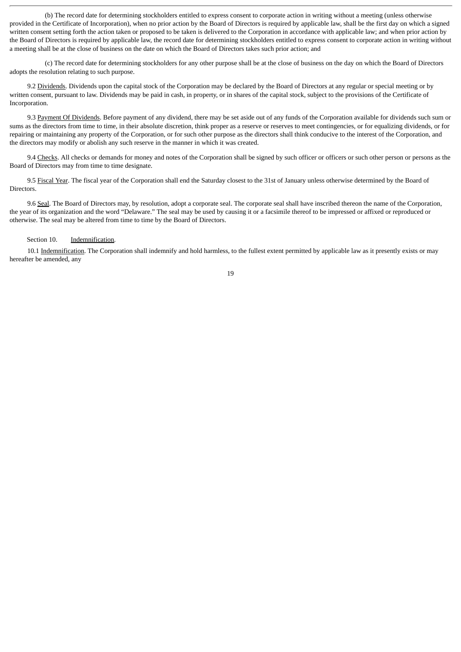(b) The record date for determining stockholders entitled to express consent to corporate action in writing without a meeting (unless otherwise provided in the Certificate of Incorporation), when no prior action by the Board of Directors is required by applicable law, shall be the first day on which a signed written consent setting forth the action taken or proposed to be taken is delivered to the Corporation in accordance with applicable law; and when prior action by the Board of Directors is required by applicable law, the record date for determining stockholders entitled to express consent to corporate action in writing without a meeting shall be at the close of business on the date on which the Board of Directors takes such prior action; and

(c) The record date for determining stockholders for any other purpose shall be at the close of business on the day on which the Board of Directors adopts the resolution relating to such purpose.

9.2 Dividends. Dividends upon the capital stock of the Corporation may be declared by the Board of Directors at any regular or special meeting or by written consent, pursuant to law. Dividends may be paid in cash, in property, or in shares of the capital stock, subject to the provisions of the Certificate of Incorporation.

9.3 Payment Of Dividends. Before payment of any dividend, there may be set aside out of any funds of the Corporation available for dividends such sum or sums as the directors from time to time, in their absolute discretion, think proper as a reserve or reserves to meet contingencies, or for equalizing dividends, or for repairing or maintaining any property of the Corporation, or for such other purpose as the directors shall think conducive to the interest of the Corporation, and the directors may modify or abolish any such reserve in the manner in which it was created.

9.4 Checks. All checks or demands for money and notes of the Corporation shall be signed by such officer or officers or such other person or persons as the Board of Directors may from time to time designate.

9.5 Fiscal Year. The fiscal year of the Corporation shall end the Saturday closest to the 31st of January unless otherwise determined by the Board of Directors.

9.6 Seal. The Board of Directors may, by resolution, adopt a corporate seal. The corporate seal shall have inscribed thereon the name of the Corporation, the year of its organization and the word "Delaware." The seal may be used by causing it or a facsimile thereof to be impressed or affixed or reproduced or otherwise. The seal may be altered from time to time by the Board of Directors.

#### Section 10. Indemnification.

10.1 Indemnification. The Corporation shall indemnify and hold harmless, to the fullest extent permitted by applicable law as it presently exists or may hereafter be amended, any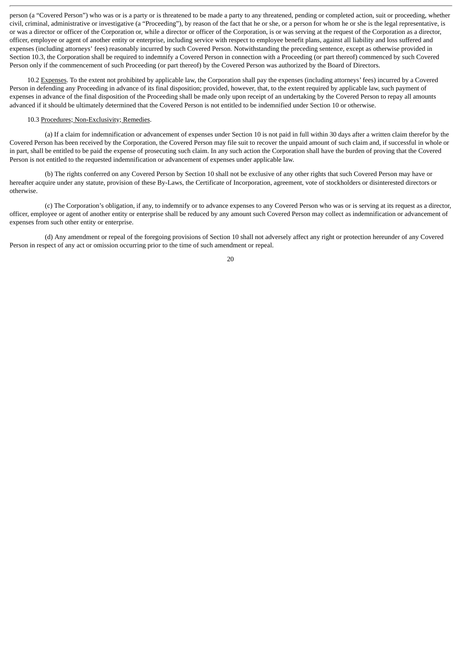person (a "Covered Person") who was or is a party or is threatened to be made a party to any threatened, pending or completed action, suit or proceeding, whether civil, criminal, administrative or investigative (a "Proceeding"), by reason of the fact that he or she, or a person for whom he or she is the legal representative, is or was a director or officer of the Corporation or, while a director or officer of the Corporation, is or was serving at the request of the Corporation as a director, officer, employee or agent of another entity or enterprise, including service with respect to employee benefit plans, against all liability and loss suffered and expenses (including attorneys' fees) reasonably incurred by such Covered Person. Notwithstanding the preceding sentence, except as otherwise provided in Section 10.3, the Corporation shall be required to indemnify a Covered Person in connection with a Proceeding (or part thereof) commenced by such Covered Person only if the commencement of such Proceeding (or part thereof) by the Covered Person was authorized by the Board of Directors.

10.2 Expenses. To the extent not prohibited by applicable law, the Corporation shall pay the expenses (including attorneys' fees) incurred by a Covered Person in defending any Proceeding in advance of its final disposition; provided, however, that, to the extent required by applicable law, such payment of expenses in advance of the final disposition of the Proceeding shall be made only upon receipt of an undertaking by the Covered Person to repay all amounts advanced if it should be ultimately determined that the Covered Person is not entitled to be indemnified under Section 10 or otherwise.

#### 10.3 Procedures; Non-Exclusivity; Remedies.

(a) If a claim for indemnification or advancement of expenses under Section 10 is not paid in full within 30 days after a written claim therefor by the Covered Person has been received by the Corporation, the Covered Person may file suit to recover the unpaid amount of such claim and, if successful in whole or in part, shall be entitled to be paid the expense of prosecuting such claim. In any such action the Corporation shall have the burden of proving that the Covered Person is not entitled to the requested indemnification or advancement of expenses under applicable law.

(b) The rights conferred on any Covered Person by Section 10 shall not be exclusive of any other rights that such Covered Person may have or hereafter acquire under any statute, provision of these By-Laws, the Certificate of Incorporation, agreement, vote of stockholders or disinterested directors or otherwise.

(c) The Corporation's obligation, if any, to indemnify or to advance expenses to any Covered Person who was or is serving at its request as a director, officer, employee or agent of another entity or enterprise shall be reduced by any amount such Covered Person may collect as indemnification or advancement of expenses from such other entity or enterprise.

(d) Any amendment or repeal of the foregoing provisions of Section 10 shall not adversely affect any right or protection hereunder of any Covered Person in respect of any act or omission occurring prior to the time of such amendment or repeal.